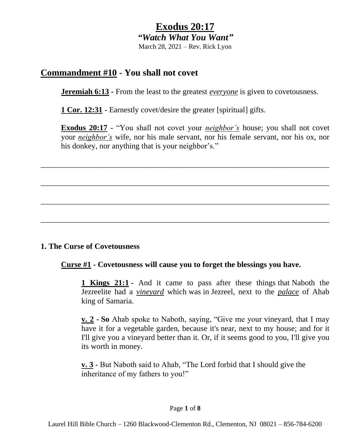# **Exodus 20:17**

*"Watch What You Want"*

March 28, 2021 – Rev. Rick Lyon

## **Commandment #10 - You shall not covet**

**Jeremiah 6:13 -** From the least to the greatest *everyone* is given to covetousness.

**1 Cor. 12:31 -** Earnestly covet/desire the greater [spiritual] gifts.

**Exodus 20:17 -** "You shall not covet your *neighbor's* house; you shall not covet your *neighbor's* wife, nor his male servant, nor his female servant, nor his ox, nor his donkey, nor anything that is your neighbor's."

\_\_\_\_\_\_\_\_\_\_\_\_\_\_\_\_\_\_\_\_\_\_\_\_\_\_\_\_\_\_\_\_\_\_\_\_\_\_\_\_\_\_\_\_\_\_\_\_\_\_\_\_\_\_\_\_\_\_\_\_\_\_\_\_\_\_\_\_\_\_\_\_\_

\_\_\_\_\_\_\_\_\_\_\_\_\_\_\_\_\_\_\_\_\_\_\_\_\_\_\_\_\_\_\_\_\_\_\_\_\_\_\_\_\_\_\_\_\_\_\_\_\_\_\_\_\_\_\_\_\_\_\_\_\_\_\_\_\_\_\_\_\_\_\_\_\_

\_\_\_\_\_\_\_\_\_\_\_\_\_\_\_\_\_\_\_\_\_\_\_\_\_\_\_\_\_\_\_\_\_\_\_\_\_\_\_\_\_\_\_\_\_\_\_\_\_\_\_\_\_\_\_\_\_\_\_\_\_\_\_\_\_\_\_\_\_\_\_\_\_

\_\_\_\_\_\_\_\_\_\_\_\_\_\_\_\_\_\_\_\_\_\_\_\_\_\_\_\_\_\_\_\_\_\_\_\_\_\_\_\_\_\_\_\_\_\_\_\_\_\_\_\_\_\_\_\_\_\_\_\_\_\_\_\_\_\_\_\_\_\_\_\_\_

#### **1. The Curse of Covetousness**

#### **Curse #1 - Covetousness will cause you to forget the blessings you have.**

**1 Kings 21:1 -** And it came to pass after these things that Naboth the Jezreelite had a *vineyard* which was in Jezreel, next to the *palace* of Ahab king of Samaria.

**v. 2 - So** Ahab spoke to Naboth, saying, "Give me your vineyard, that I may have it for a vegetable garden, because it's near, next to my house; and for it I'll give you a vineyard better than it. Or, if it seems good to you, I'll give you its worth in money.

**v. 3 -** But Naboth said to Ahab, "The Lord forbid that I should give the inheritance of my fathers to you!"

#### Page **1** of **8**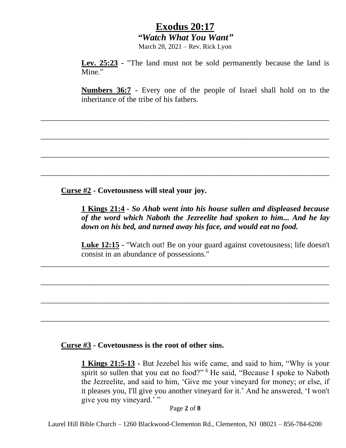March 28, 2021 – Rev. Rick Lyon

\_\_\_\_\_\_\_\_\_\_\_\_\_\_\_\_\_\_\_\_\_\_\_\_\_\_\_\_\_\_\_\_\_\_\_\_\_\_\_\_\_\_\_\_\_\_\_\_\_\_\_\_\_\_\_\_\_\_\_\_\_\_\_\_\_\_\_\_\_\_\_\_\_

\_\_\_\_\_\_\_\_\_\_\_\_\_\_\_\_\_\_\_\_\_\_\_\_\_\_\_\_\_\_\_\_\_\_\_\_\_\_\_\_\_\_\_\_\_\_\_\_\_\_\_\_\_\_\_\_\_\_\_\_\_\_\_\_\_\_\_\_\_\_\_\_\_

\_\_\_\_\_\_\_\_\_\_\_\_\_\_\_\_\_\_\_\_\_\_\_\_\_\_\_\_\_\_\_\_\_\_\_\_\_\_\_\_\_\_\_\_\_\_\_\_\_\_\_\_\_\_\_\_\_\_\_\_\_\_\_\_\_\_\_\_\_\_\_\_\_

\_\_\_\_\_\_\_\_\_\_\_\_\_\_\_\_\_\_\_\_\_\_\_\_\_\_\_\_\_\_\_\_\_\_\_\_\_\_\_\_\_\_\_\_\_\_\_\_\_\_\_\_\_\_\_\_\_\_\_\_\_\_\_\_\_\_\_\_\_\_\_\_\_

\_\_\_\_\_\_\_\_\_\_\_\_\_\_\_\_\_\_\_\_\_\_\_\_\_\_\_\_\_\_\_\_\_\_\_\_\_\_\_\_\_\_\_\_\_\_\_\_\_\_\_\_\_\_\_\_\_\_\_\_\_\_\_\_\_\_\_\_\_\_\_\_\_

\_\_\_\_\_\_\_\_\_\_\_\_\_\_\_\_\_\_\_\_\_\_\_\_\_\_\_\_\_\_\_\_\_\_\_\_\_\_\_\_\_\_\_\_\_\_\_\_\_\_\_\_\_\_\_\_\_\_\_\_\_\_\_\_\_\_\_\_\_\_\_\_\_

\_\_\_\_\_\_\_\_\_\_\_\_\_\_\_\_\_\_\_\_\_\_\_\_\_\_\_\_\_\_\_\_\_\_\_\_\_\_\_\_\_\_\_\_\_\_\_\_\_\_\_\_\_\_\_\_\_\_\_\_\_\_\_\_\_\_\_\_\_\_\_\_\_

\_\_\_\_\_\_\_\_\_\_\_\_\_\_\_\_\_\_\_\_\_\_\_\_\_\_\_\_\_\_\_\_\_\_\_\_\_\_\_\_\_\_\_\_\_\_\_\_\_\_\_\_\_\_\_\_\_\_\_\_\_\_\_\_\_\_\_\_\_\_\_\_\_

**Lev. 25:23 -** "The land must not be sold permanently because the land is Mine."

**Numbers 36:7 -** Every one of the people of Israel shall hold on to the inheritance of the tribe of his fathers.

**Curse #2 - Covetousness will steal your joy.**

**1 Kings 21:4 -** *So Ahab went into his house sullen and displeased because of the word which Naboth the Jezreelite had spoken to him... And he lay down on his bed, and turned away his face, and would eat no food.*

**Luke 12:15 -** "Watch out! Be on your guard against covetousness; life doesn't consist in an abundance of possessions."

**Curse #3 - Covetousness is the root of other sins.**

**1 Kings 21:5-13 -** But Jezebel his wife came, and said to him, "Why is your spirit so sullen that you eat no food?" <sup>6</sup> He said, "Because I spoke to Naboth the Jezreelite, and said to him, 'Give me your vineyard for money; or else, if it pleases you, I'll give you another vineyard for it.' And he answered, 'I won't give you my vineyard.'"

Page **2** of **8**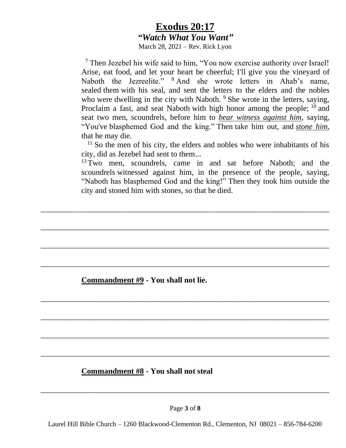March 28, 2021 – Rev. Rick Lyon

<sup>7</sup> Then Jezebel his wife said to him, "You now exercise authority over Israel! Arise, eat food, and let your heart be cheerful; I'll give you the vineyard of Naboth the Jezreelite." <sup>8</sup> And she wrote letters in Ahab's name, sealed them with his seal, and sent the letters to the elders and the nobles who were dwelling in the city with Naboth. <sup>9</sup> She wrote in the letters, saying, Proclaim a fast, and seat Naboth with high honor among the people; <sup>10</sup> and seat two men, scoundrels, before him to *bear witness against him*, saying, "You've blasphemed God and the king." Then take him out, and *stone him*, that he may die.

 $11$  So the men of his city, the elders and nobles who were inhabitants of his city, did as Jezebel had sent to them...

<sup>13</sup> Two men, scoundrels, came in and sat before Naboth; and the scoundrels witnessed against him, in the presence of the people, saying, "Naboth has blasphemed God and the king!" Then they took him outside the city and stoned him with stones, so that he died.

\_\_\_\_\_\_\_\_\_\_\_\_\_\_\_\_\_\_\_\_\_\_\_\_\_\_\_\_\_\_\_\_\_\_\_\_\_\_\_\_\_\_\_\_\_\_\_\_\_\_\_\_\_\_\_\_\_\_\_\_\_\_\_\_\_\_\_\_\_\_\_\_\_

\_\_\_\_\_\_\_\_\_\_\_\_\_\_\_\_\_\_\_\_\_\_\_\_\_\_\_\_\_\_\_\_\_\_\_\_\_\_\_\_\_\_\_\_\_\_\_\_\_\_\_\_\_\_\_\_\_\_\_\_\_\_\_\_\_\_\_\_\_\_\_\_\_

\_\_\_\_\_\_\_\_\_\_\_\_\_\_\_\_\_\_\_\_\_\_\_\_\_\_\_\_\_\_\_\_\_\_\_\_\_\_\_\_\_\_\_\_\_\_\_\_\_\_\_\_\_\_\_\_\_\_\_\_\_\_\_\_\_\_\_\_\_\_\_\_\_

\_\_\_\_\_\_\_\_\_\_\_\_\_\_\_\_\_\_\_\_\_\_\_\_\_\_\_\_\_\_\_\_\_\_\_\_\_\_\_\_\_\_\_\_\_\_\_\_\_\_\_\_\_\_\_\_\_\_\_\_\_\_\_\_\_\_\_\_\_\_\_\_\_

\_\_\_\_\_\_\_\_\_\_\_\_\_\_\_\_\_\_\_\_\_\_\_\_\_\_\_\_\_\_\_\_\_\_\_\_\_\_\_\_\_\_\_\_\_\_\_\_\_\_\_\_\_\_\_\_\_\_\_\_\_\_\_\_\_\_\_\_\_\_\_\_\_

\_\_\_\_\_\_\_\_\_\_\_\_\_\_\_\_\_\_\_\_\_\_\_\_\_\_\_\_\_\_\_\_\_\_\_\_\_\_\_\_\_\_\_\_\_\_\_\_\_\_\_\_\_\_\_\_\_\_\_\_\_\_\_\_\_\_\_\_\_\_\_\_\_

\_\_\_\_\_\_\_\_\_\_\_\_\_\_\_\_\_\_\_\_\_\_\_\_\_\_\_\_\_\_\_\_\_\_\_\_\_\_\_\_\_\_\_\_\_\_\_\_\_\_\_\_\_\_\_\_\_\_\_\_\_\_\_\_\_\_\_\_\_\_\_\_\_

\_\_\_\_\_\_\_\_\_\_\_\_\_\_\_\_\_\_\_\_\_\_\_\_\_\_\_\_\_\_\_\_\_\_\_\_\_\_\_\_\_\_\_\_\_\_\_\_\_\_\_\_\_\_\_\_\_\_\_\_\_\_\_\_\_\_\_\_\_\_\_\_\_

**Commandment #9 - You shall not lie.**

#### **Commandment #8 - You shall not steal**

Page **3** of **8**

\_\_\_\_\_\_\_\_\_\_\_\_\_\_\_\_\_\_\_\_\_\_\_\_\_\_\_\_\_\_\_\_\_\_\_\_\_\_\_\_\_\_\_\_\_\_\_\_\_\_\_\_\_\_\_\_\_\_\_\_\_\_\_\_\_\_\_\_\_\_\_\_\_

Laurel Hill Bible Church – 1260 Blackwood-Clementon Rd., Clementon, NJ 08021 – 856-784-6200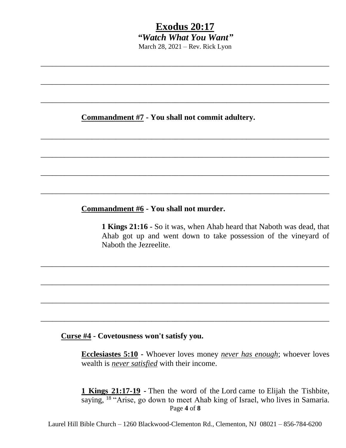# **Exodus 20:17** *"Watch What You Want"* March 28, 2021 – Rev. Rick Lyon

\_\_\_\_\_\_\_\_\_\_\_\_\_\_\_\_\_\_\_\_\_\_\_\_\_\_\_\_\_\_\_\_\_\_\_\_\_\_\_\_\_\_\_\_\_\_\_\_\_\_\_\_\_\_\_\_\_\_\_\_\_\_\_\_\_\_\_\_\_\_\_\_\_

\_\_\_\_\_\_\_\_\_\_\_\_\_\_\_\_\_\_\_\_\_\_\_\_\_\_\_\_\_\_\_\_\_\_\_\_\_\_\_\_\_\_\_\_\_\_\_\_\_\_\_\_\_\_\_\_\_\_\_\_\_\_\_\_\_\_\_\_\_\_\_\_\_

\_\_\_\_\_\_\_\_\_\_\_\_\_\_\_\_\_\_\_\_\_\_\_\_\_\_\_\_\_\_\_\_\_\_\_\_\_\_\_\_\_\_\_\_\_\_\_\_\_\_\_\_\_\_\_\_\_\_\_\_\_\_\_\_\_\_\_\_\_\_\_\_\_

\_\_\_\_\_\_\_\_\_\_\_\_\_\_\_\_\_\_\_\_\_\_\_\_\_\_\_\_\_\_\_\_\_\_\_\_\_\_\_\_\_\_\_\_\_\_\_\_\_\_\_\_\_\_\_\_\_\_\_\_\_\_\_\_\_\_\_\_\_\_\_\_\_

\_\_\_\_\_\_\_\_\_\_\_\_\_\_\_\_\_\_\_\_\_\_\_\_\_\_\_\_\_\_\_\_\_\_\_\_\_\_\_\_\_\_\_\_\_\_\_\_\_\_\_\_\_\_\_\_\_\_\_\_\_\_\_\_\_\_\_\_\_\_\_\_\_

\_\_\_\_\_\_\_\_\_\_\_\_\_\_\_\_\_\_\_\_\_\_\_\_\_\_\_\_\_\_\_\_\_\_\_\_\_\_\_\_\_\_\_\_\_\_\_\_\_\_\_\_\_\_\_\_\_\_\_\_\_\_\_\_\_\_\_\_\_\_\_\_\_

\_\_\_\_\_\_\_\_\_\_\_\_\_\_\_\_\_\_\_\_\_\_\_\_\_\_\_\_\_\_\_\_\_\_\_\_\_\_\_\_\_\_\_\_\_\_\_\_\_\_\_\_\_\_\_\_\_\_\_\_\_\_\_\_\_\_\_\_\_\_\_\_\_

\_\_\_\_\_\_\_\_\_\_\_\_\_\_\_\_\_\_\_\_\_\_\_\_\_\_\_\_\_\_\_\_\_\_\_\_\_\_\_\_\_\_\_\_\_\_\_\_\_\_\_\_\_\_\_\_\_\_\_\_\_\_\_\_\_\_\_\_\_\_\_\_\_

\_\_\_\_\_\_\_\_\_\_\_\_\_\_\_\_\_\_\_\_\_\_\_\_\_\_\_\_\_\_\_\_\_\_\_\_\_\_\_\_\_\_\_\_\_\_\_\_\_\_\_\_\_\_\_\_\_\_\_\_\_\_\_\_\_\_\_\_\_\_\_\_\_

\_\_\_\_\_\_\_\_\_\_\_\_\_\_\_\_\_\_\_\_\_\_\_\_\_\_\_\_\_\_\_\_\_\_\_\_\_\_\_\_\_\_\_\_\_\_\_\_\_\_\_\_\_\_\_\_\_\_\_\_\_\_\_\_\_\_\_\_\_\_\_\_\_

\_\_\_\_\_\_\_\_\_\_\_\_\_\_\_\_\_\_\_\_\_\_\_\_\_\_\_\_\_\_\_\_\_\_\_\_\_\_\_\_\_\_\_\_\_\_\_\_\_\_\_\_\_\_\_\_\_\_\_\_\_\_\_\_\_\_\_\_\_\_\_\_\_

#### **Commandment #7 - You shall not commit adultery.**

#### **Commandment #6 - You shall not murder.**

**1 Kings 21:16 -** So it was, when Ahab heard that Naboth was dead, that Ahab got up and went down to take possession of the vineyard of Naboth the Jezreelite.

#### **Curse #4 - Covetousness won't satisfy you.**

**Ecclesiastes 5:10 -** Whoever loves money *never has enough*; whoever loves wealth is *never satisfied* with their income.

Page **4** of **8 1 Kings 21:17-19 -** Then the word of the Lord came to Elijah the Tishbite, saying, <sup>18</sup> "Arise, go down to meet Ahab king of Israel, who lives in Samaria.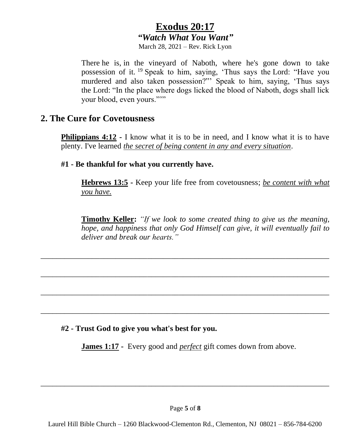March 28, 2021 – Rev. Rick Lyon

There he is, in the vineyard of Naboth, where he's gone down to take possession of it. <sup>19</sup> Speak to him, saying, 'Thus says the Lord: "Have you murdered and also taken possession?"' Speak to him, saying, 'Thus says the Lord: "In the place where dogs licked the blood of Naboth, dogs shall lick your blood, even yours."""

#### **2. The Cure for Covetousness**

**Philippians 4:12 -** I know what it is to be in need, and I know what it is to have plenty. I've learned *the secret of being content in any and every situation*.

**#1 - Be thankful for what you currently have.**

**Hebrews 13:5 -** Keep your life free from covetousness; *be content with what you have.*

**Timothy Keller:** *"If we look to some created thing to give us the meaning, hope, and happiness that only God Himself can give, it will eventually fail to deliver and break our hearts."*

#### **#2 - Trust God to give you what's best for you.**

**James 1:17 -** Every good and *perfect* gift comes down from above.

\_\_\_\_\_\_\_\_\_\_\_\_\_\_\_\_\_\_\_\_\_\_\_\_\_\_\_\_\_\_\_\_\_\_\_\_\_\_\_\_\_\_\_\_\_\_\_\_\_\_\_\_\_\_\_\_\_\_\_\_\_\_\_\_\_\_\_\_\_\_\_\_\_

\_\_\_\_\_\_\_\_\_\_\_\_\_\_\_\_\_\_\_\_\_\_\_\_\_\_\_\_\_\_\_\_\_\_\_\_\_\_\_\_\_\_\_\_\_\_\_\_\_\_\_\_\_\_\_\_\_\_\_\_\_\_\_\_\_\_\_\_\_\_\_\_\_

\_\_\_\_\_\_\_\_\_\_\_\_\_\_\_\_\_\_\_\_\_\_\_\_\_\_\_\_\_\_\_\_\_\_\_\_\_\_\_\_\_\_\_\_\_\_\_\_\_\_\_\_\_\_\_\_\_\_\_\_\_\_\_\_\_\_\_\_\_\_\_\_\_

\_\_\_\_\_\_\_\_\_\_\_\_\_\_\_\_\_\_\_\_\_\_\_\_\_\_\_\_\_\_\_\_\_\_\_\_\_\_\_\_\_\_\_\_\_\_\_\_\_\_\_\_\_\_\_\_\_\_\_\_\_\_\_\_\_\_\_\_\_\_\_\_\_

\_\_\_\_\_\_\_\_\_\_\_\_\_\_\_\_\_\_\_\_\_\_\_\_\_\_\_\_\_\_\_\_\_\_\_\_\_\_\_\_\_\_\_\_\_\_\_\_\_\_\_\_\_\_\_\_\_\_\_\_\_\_\_\_\_\_\_\_\_\_\_\_\_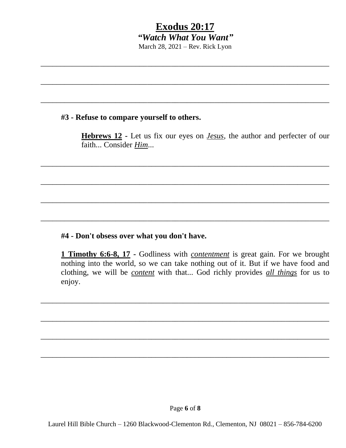# **Exodus 20:17** *"Watch What You Want"* March 28, 2021 – Rev. Rick Lyon

\_\_\_\_\_\_\_\_\_\_\_\_\_\_\_\_\_\_\_\_\_\_\_\_\_\_\_\_\_\_\_\_\_\_\_\_\_\_\_\_\_\_\_\_\_\_\_\_\_\_\_\_\_\_\_\_\_\_\_\_\_\_\_\_\_\_\_\_\_\_\_\_\_

\_\_\_\_\_\_\_\_\_\_\_\_\_\_\_\_\_\_\_\_\_\_\_\_\_\_\_\_\_\_\_\_\_\_\_\_\_\_\_\_\_\_\_\_\_\_\_\_\_\_\_\_\_\_\_\_\_\_\_\_\_\_\_\_\_\_\_\_\_\_\_\_\_

\_\_\_\_\_\_\_\_\_\_\_\_\_\_\_\_\_\_\_\_\_\_\_\_\_\_\_\_\_\_\_\_\_\_\_\_\_\_\_\_\_\_\_\_\_\_\_\_\_\_\_\_\_\_\_\_\_\_\_\_\_\_\_\_\_\_\_\_\_\_\_\_\_

\_\_\_\_\_\_\_\_\_\_\_\_\_\_\_\_\_\_\_\_\_\_\_\_\_\_\_\_\_\_\_\_\_\_\_\_\_\_\_\_\_\_\_\_\_\_\_\_\_\_\_\_\_\_\_\_\_\_\_\_\_\_\_\_\_\_\_\_\_\_\_\_\_

\_\_\_\_\_\_\_\_\_\_\_\_\_\_\_\_\_\_\_\_\_\_\_\_\_\_\_\_\_\_\_\_\_\_\_\_\_\_\_\_\_\_\_\_\_\_\_\_\_\_\_\_\_\_\_\_\_\_\_\_\_\_\_\_\_\_\_\_\_\_\_\_\_

\_\_\_\_\_\_\_\_\_\_\_\_\_\_\_\_\_\_\_\_\_\_\_\_\_\_\_\_\_\_\_\_\_\_\_\_\_\_\_\_\_\_\_\_\_\_\_\_\_\_\_\_\_\_\_\_\_\_\_\_\_\_\_\_\_\_\_\_\_\_\_\_\_

\_\_\_\_\_\_\_\_\_\_\_\_\_\_\_\_\_\_\_\_\_\_\_\_\_\_\_\_\_\_\_\_\_\_\_\_\_\_\_\_\_\_\_\_\_\_\_\_\_\_\_\_\_\_\_\_\_\_\_\_\_\_\_\_\_\_\_\_\_\_\_\_\_

\_\_\_\_\_\_\_\_\_\_\_\_\_\_\_\_\_\_\_\_\_\_\_\_\_\_\_\_\_\_\_\_\_\_\_\_\_\_\_\_\_\_\_\_\_\_\_\_\_\_\_\_\_\_\_\_\_\_\_\_\_\_\_\_\_\_\_\_\_\_\_\_\_

\_\_\_\_\_\_\_\_\_\_\_\_\_\_\_\_\_\_\_\_\_\_\_\_\_\_\_\_\_\_\_\_\_\_\_\_\_\_\_\_\_\_\_\_\_\_\_\_\_\_\_\_\_\_\_\_\_\_\_\_\_\_\_\_\_\_\_\_\_\_\_\_\_

\_\_\_\_\_\_\_\_\_\_\_\_\_\_\_\_\_\_\_\_\_\_\_\_\_\_\_\_\_\_\_\_\_\_\_\_\_\_\_\_\_\_\_\_\_\_\_\_\_\_\_\_\_\_\_\_\_\_\_\_\_\_\_\_\_\_\_\_\_\_\_\_\_

\_\_\_\_\_\_\_\_\_\_\_\_\_\_\_\_\_\_\_\_\_\_\_\_\_\_\_\_\_\_\_\_\_\_\_\_\_\_\_\_\_\_\_\_\_\_\_\_\_\_\_\_\_\_\_\_\_\_\_\_\_\_\_\_\_\_\_\_\_\_\_\_\_

#### **#3 - Refuse to compare yourself to others.**

**Hebrews 12 -** Let us fix our eyes on *Jesus*, the author and perfecter of our faith... Consider *Him*...

#### **#4 - Don't obsess over what you don't have.**

**1 Timothy 6:6-8, 17 -** Godliness with *contentment* is great gain. For we brought nothing into the world, so we can take nothing out of it. But if we have food and clothing, we will be *content* with that... God richly provides *all things* for us to enjoy.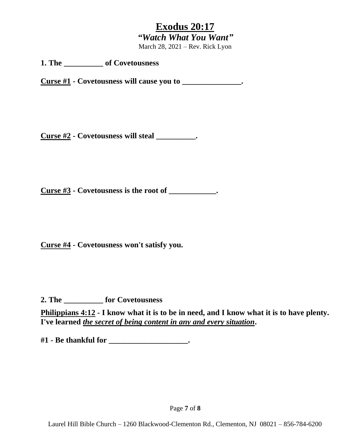March 28, 2021 – Rev. Rick Lyon

**1. The \_\_\_\_\_\_\_\_\_\_ of Covetousness**

**Curse #1 - Covetousness will cause you to \_\_\_\_\_\_\_\_\_\_\_\_\_\_\_.**

**Curse #2 - Covetousness will steal \_\_\_\_\_\_\_\_\_\_.**

**Curse #3 - Covetousness is the root of \_\_\_\_\_\_\_\_\_\_\_\_.** 

**Curse #4 - Covetousness won't satisfy you.**

**2. The \_\_\_\_\_\_\_\_\_\_ for Covetousness**

**Philippians 4:12 - I know what it is to be in need, and I know what it is to have plenty. I've learned** *the secret of being content in any and every situation***.**

**#1 - Be thankful for \_\_\_\_\_\_\_\_\_\_\_\_\_\_\_\_\_\_\_\_.**

Page **7** of **8**